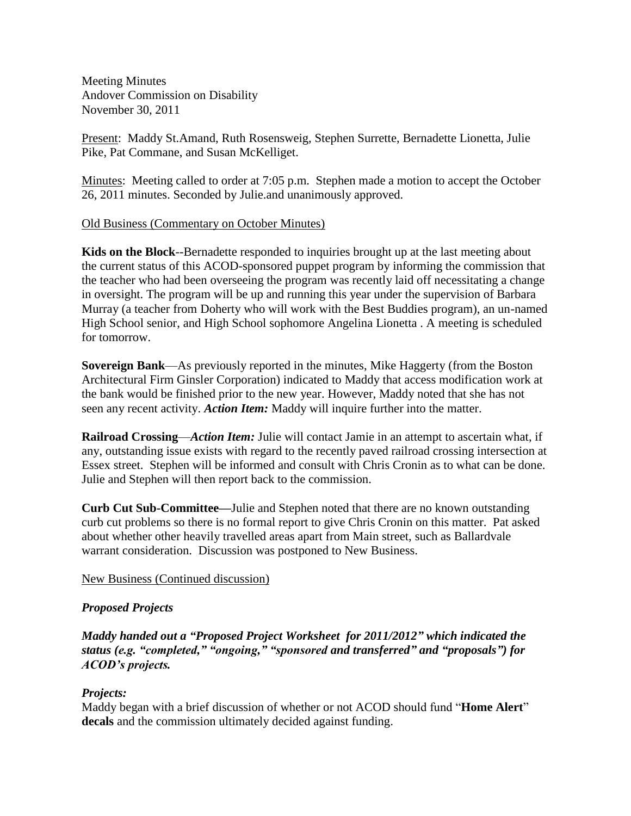Meeting Minutes Andover Commission on Disability November 30, 2011

Present: Maddy St.Amand, Ruth Rosensweig, Stephen Surrette, Bernadette Lionetta, Julie Pike, Pat Commane, and Susan McKelliget.

Minutes: Meeting called to order at 7:05 p.m. Stephen made a motion to accept the October 26, 2011 minutes. Seconded by Julie.and unanimously approved.

## Old Business (Commentary on October Minutes)

**Kids on the Block**--Bernadette responded to inquiries brought up at the last meeting about the current status of this ACOD-sponsored puppet program by informing the commission that the teacher who had been overseeing the program was recently laid off necessitating a change in oversight. The program will be up and running this year under the supervision of Barbara Murray (a teacher from Doherty who will work with the Best Buddies program), an un-named High School senior, and High School sophomore Angelina Lionetta . A meeting is scheduled for tomorrow.

**Sovereign Bank**—As previously reported in the minutes, Mike Haggerty (from the Boston Architectural Firm Ginsler Corporation) indicated to Maddy that access modification work at the bank would be finished prior to the new year. However, Maddy noted that she has not seen any recent activity. *Action Item:* Maddy will inquire further into the matter.

**Railroad Crossing**—*Action Item:* Julie will contact Jamie in an attempt to ascertain what, if any, outstanding issue exists with regard to the recently paved railroad crossing intersection at Essex street. Stephen will be informed and consult with Chris Cronin as to what can be done. Julie and Stephen will then report back to the commission.

**Curb Cut Sub-Committee—**Julie and Stephen noted that there are no known outstanding curb cut problems so there is no formal report to give Chris Cronin on this matter. Pat asked about whether other heavily travelled areas apart from Main street, such as Ballardvale warrant consideration. Discussion was postponed to New Business.

New Business (Continued discussion)

## *Proposed Projects*

*Maddy handed out a "Proposed Project Worksheet for 2011/2012" which indicated the status (e.g. "completed," "ongoing," "sponsored and transferred" and "proposals") for ACOD's projects.*

## *Projects:*

Maddy began with a brief discussion of whether or not ACOD should fund "**Home Alert**" **decals** and the commission ultimately decided against funding.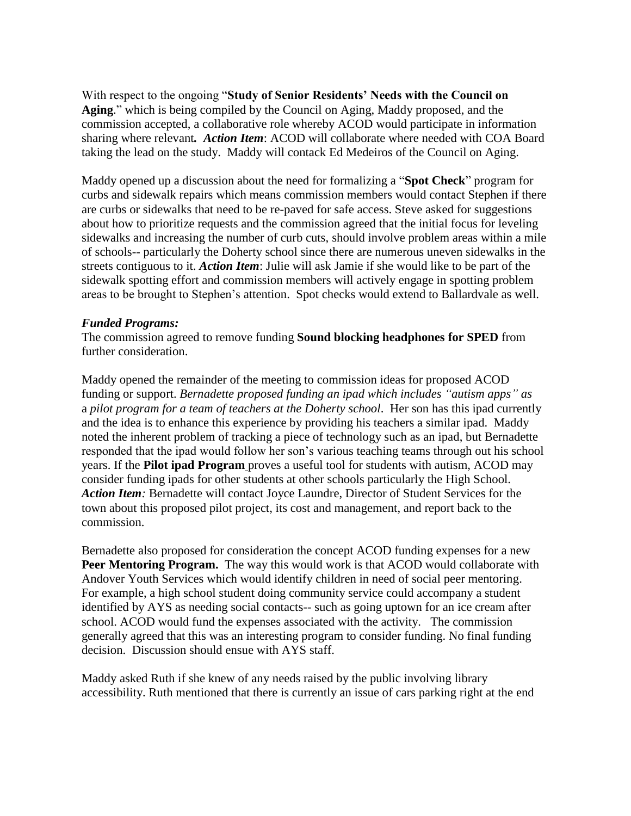With respect to the ongoing "**Study of Senior Residents' Needs with the Council on Aging**." which is being compiled by the Council on Aging, Maddy proposed, and the commission accepted, a collaborative role whereby ACOD would participate in information sharing where relevant*. Action Item*: ACOD will collaborate where needed with COA Board taking the lead on the study. Maddy will contack Ed Medeiros of the Council on Aging.

Maddy opened up a discussion about the need for formalizing a "**Spot Check**" program for curbs and sidewalk repairs which means commission members would contact Stephen if there are curbs or sidewalks that need to be re-paved for safe access. Steve asked for suggestions about how to prioritize requests and the commission agreed that the initial focus for leveling sidewalks and increasing the number of curb cuts, should involve problem areas within a mile of schools-- particularly the Doherty school since there are numerous uneven sidewalks in the streets contiguous to it. *Action Item*: Julie will ask Jamie if she would like to be part of the sidewalk spotting effort and commission members will actively engage in spotting problem areas to be brought to Stephen's attention. Spot checks would extend to Ballardvale as well.

## *Funded Programs:*

The commission agreed to remove funding **Sound blocking headphones for SPED** from further consideration.

Maddy opened the remainder of the meeting to commission ideas for proposed ACOD funding or support. *Bernadette proposed funding an ipad which includes "autism apps" as* a *pilot program for a team of teachers at the Doherty school*. Her son has this ipad currently and the idea is to enhance this experience by providing his teachers a similar ipad. Maddy noted the inherent problem of tracking a piece of technology such as an ipad, but Bernadette responded that the ipad would follow her son's various teaching teams through out his school years. If the **Pilot ipad Program** proves a useful tool for students with autism, ACOD may consider funding ipads for other students at other schools particularly the High School. *Action Item:* Bernadette will contact Joyce Laundre, Director of Student Services for the town about this proposed pilot project, its cost and management, and report back to the commission.

Bernadette also proposed for consideration the concept ACOD funding expenses for a new **Peer Mentoring Program.** The way this would work is that ACOD would collaborate with Andover Youth Services which would identify children in need of social peer mentoring. For example, a high school student doing community service could accompany a student identified by AYS as needing social contacts-- such as going uptown for an ice cream after school. ACOD would fund the expenses associated with the activity. The commission generally agreed that this was an interesting program to consider funding. No final funding decision. Discussion should ensue with AYS staff.

Maddy asked Ruth if she knew of any needs raised by the public involving library accessibility. Ruth mentioned that there is currently an issue of cars parking right at the end